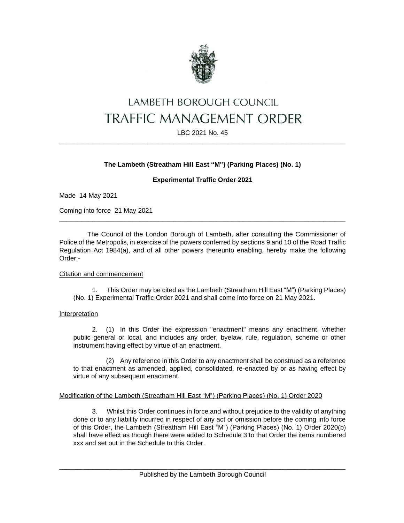

# LAMBETH BOROUGH COUNCIL **TRAFFIC MANAGEMENT ORDER**

LBC 2021 No. 45 \_\_\_\_\_\_\_\_\_\_\_\_\_\_\_\_\_\_\_\_\_\_\_\_\_\_\_\_\_\_\_\_\_\_\_\_\_\_\_\_\_\_\_\_\_\_\_\_\_\_\_\_\_\_\_\_\_\_\_\_\_\_\_\_\_\_\_\_\_\_\_\_\_\_\_\_\_\_

## **The Lambeth (Streatham Hill East "M") (Parking Places) (No. 1)**

## **Experimental Traffic Order 2021**

Made 14 May 2021

Coming into force 21 May 2021

The Council of the London Borough of Lambeth, after consulting the Commissioner of Police of the Metropolis, in exercise of the powers conferred by sections 9 and 10 of the Road Traffic Regulation Act 1984(a), and of all other powers thereunto enabling, hereby make the following Order:-

\_\_\_\_\_\_\_\_\_\_\_\_\_\_\_\_\_\_\_\_\_\_\_\_\_\_\_\_\_\_\_\_\_\_\_\_\_\_\_\_\_\_\_\_\_\_\_\_\_\_\_\_\_\_\_\_\_\_\_\_\_\_\_\_\_\_\_\_\_\_\_\_\_\_\_\_\_\_

## Citation and commencement

1. This Order may be cited as the Lambeth (Streatham Hill East "M") (Parking Places) (No. 1) Experimental Traffic Order 2021 and shall come into force on 21 May 2021.

#### Interpretation

2. (1) In this Order the expression "enactment" means any enactment, whether public general or local, and includes any order, byelaw, rule, regulation, scheme or other instrument having effect by virtue of an enactment.

(2) Any reference in this Order to any enactment shall be construed as a reference to that enactment as amended, applied, consolidated, re-enacted by or as having effect by virtue of any subsequent enactment.

## Modification of the Lambeth (Streatham Hill East "M") (Parking Places) (No. 1) Order 2020

3. Whilst this Order continues in force and without prejudice to the validity of anything done or to any liability incurred in respect of any act or omission before the coming into force of this Order, the Lambeth (Streatham Hill East "M") (Parking Places) (No. 1) Order 2020(b) shall have effect as though there were added to Schedule 3 to that Order the items numbered xxx and set out in the Schedule to this Order.